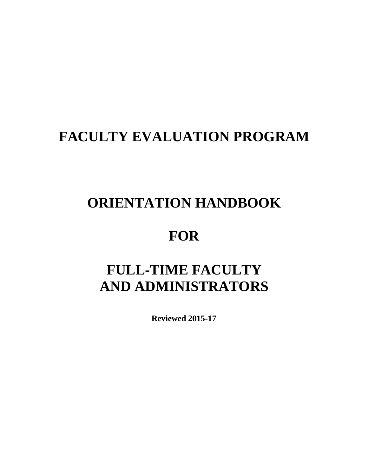## **FACULTY EVALUATION PROGRAM**

## **ORIENTATION HANDBOOK**

## **FOR**

# **FULL-TIME FACULTY AND ADMINISTRATORS**

**Reviewed 2015-17**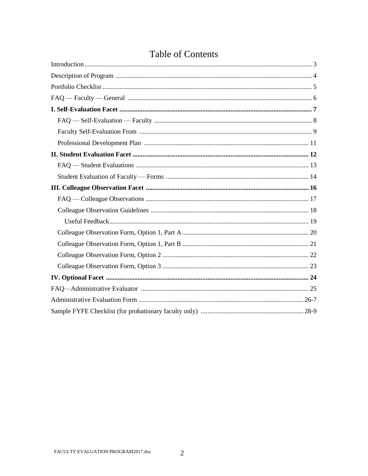## **Table of Contents**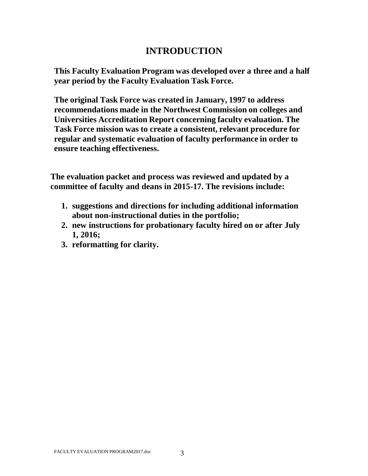## **INTRODUCTION**

**This Faculty Evaluation Program was developed over a three and a half year period by the Faculty Evaluation Task Force.**

**The original Task Force was created in January, 1997 to address recommendations made in the Northwest Commission on colleges and Universities Accreditation Report concerning faculty evaluation. The Task Force mission was to create a consistent, relevant procedure for regular and systematic evaluation of faculty performance in order to ensure teaching effectiveness.**

**The evaluation packet and process was reviewed and updated by a committee of faculty and deans in 2015-17. The revisions include:**

- **1. suggestions and directions for including additional information about non-instructional duties in the portfolio;**
- **2. new instructions for probationary faculty hired on or after July 1, 2016;**
- **3. reformatting for clarity.**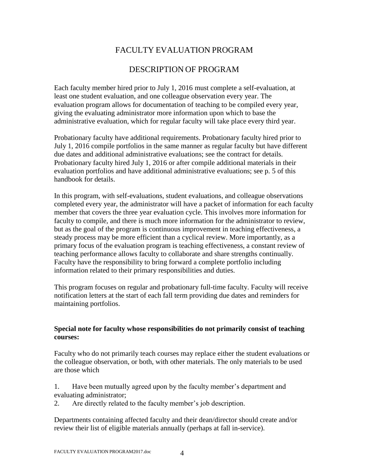## FACULTY EVALUATION PROGRAM

## DESCRIPTION OF PROGRAM

Each faculty member hired prior to July 1, 2016 must complete a self-evaluation, at least one student evaluation, and one colleague observation every year. The evaluation program allows for documentation of teaching to be compiled every year, giving the evaluating administrator more information upon which to base the administrative evaluation, which for regular faculty will take place every third year.

Probationary faculty have additional requirements. Probationary faculty hired prior to July 1, 2016 compile portfolios in the same manner as regular faculty but have different due dates and additional administrative evaluations; see the contract for details. Probationary faculty hired July 1, 2016 or after compile additional materials in their evaluation portfolios and have additional administrative evaluations; see p. 5 of this handbook for details.

In this program, with self-evaluations, student evaluations, and colleague observations completed every year, the administrator will have a packet of information for each faculty member that covers the three year evaluation cycle. This involves more information for faculty to compile, and there is much more information for the administrator to review, but as the goal of the program is continuous improvement in teaching effectiveness, a steady process may be more efficient than a cyclical review. More importantly, as a primary focus of the evaluation program is teaching effectiveness, a constant review of teaching performance allows faculty to collaborate and share strengths continually. Faculty have the responsibility to bring forward a complete portfolio including information related to their primary responsibilities and duties.

This program focuses on regular and probationary full-time faculty. Faculty will receive notification letters at the start of each fall term providing due dates and reminders for maintaining portfolios.

#### **Special note for faculty whose responsibilities do not primarily consist of teaching courses:**

Faculty who do not primarily teach courses may replace either the student evaluations or the colleague observation, or both, with other materials. The only materials to be used are those which

1. Have been mutually agreed upon by the faculty member's department and evaluating administrator;

2. Are directly related to the faculty member's job description.

Departments containing affected faculty and their dean/director should create and/or review their list of eligible materials annually (perhaps at fall in-service).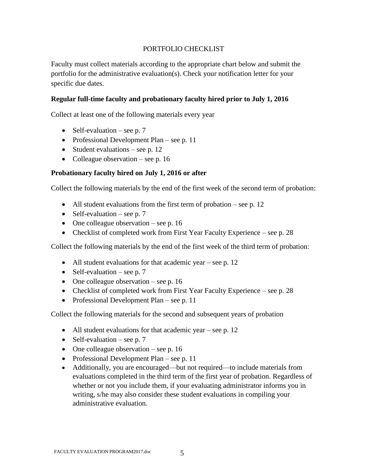#### PORTFOLIO CHECKLIST

Faculty must collect materials according to the appropriate chart below and submit the portfolio for the administrative evaluation(s). Check your notification letter for your specific due dates.

#### **Regular full-time faculty and probationary faculty hired prior to July 1, 2016**

Collect at least one of the following materials every year

- Self-evaluation see p. 7
- Professional Development Plan see p. 11
- Student evaluations see p. 12
- Colleague observation see p. 16

#### **Probationary faculty hired on July 1, 2016 or after**

Collect the following materials by the end of the first week of the second term of probation:

- All student evaluations from the first term of probation see p. 12
- Self-evaluation see p. 7
- One colleague observation see p. 16
- Checklist of completed work from First Year Faculty Experience see p. 28

Collect the following materials by the end of the first week of the third term of probation:

- All student evaluations for that academic year see p. 12
- Self-evaluation see p. 7
- One colleague observation see p. 16
- Checklist of completed work from First Year Faculty Experience see p. 28
- Professional Development Plan see p. 11

Collect the following materials for the second and subsequent years of probation

- All student evaluations for that academic year see p. 12
- Self-evaluation see p. 7
- One colleague observation see p. 16
- Professional Development Plan see p. 11
- Additionally, you are encouraged—but not required—to include materials from evaluations completed in the third term of the first year of probation. Regardless of whether or not you include them, if your evaluating administrator informs you in writing, s/he may also consider these student evaluations in compiling your administrative evaluation.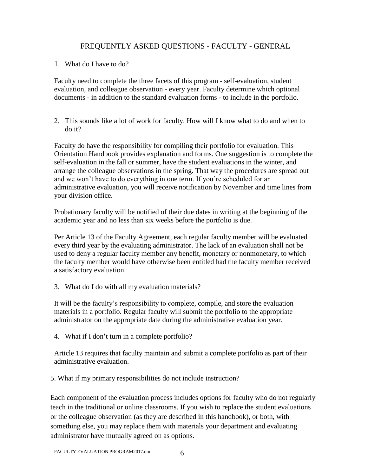#### FREQUENTLY ASKED QUESTIONS - FACULTY - GENERAL

1. What do I have to do?

Faculty need to complete the three facets of this program - self-evaluation, student evaluation, and colleague observation - every year. Faculty determine which optional documents - in addition to the standard evaluation forms - to include in the portfolio.

2. This sounds like a lot of work for faculty. How will I know what to do and when to do it?

Faculty do have the responsibility for compiling their portfolio for evaluation. This Orientation Handbook provides explanation and forms. One suggestion is to complete the self-evaluation in the fall or summer, have the student evaluations in the winter, and arrange the colleague observations in the spring. That way the procedures are spread out and we won't have to do everything in one term. If you're scheduled for an administrative evaluation, you will receive notification by November and time lines from your division office.

Probationary faculty will be notified of their due dates in writing at the beginning of the academic year and no less than six weeks before the portfolio is due.

Per Article 13 of the Faculty Agreement, each regular faculty member will be evaluated every third year by the evaluating administrator. The lack of an evaluation shall not be used to deny a regular faculty member any benefit, monetary or nonmonetary, to which the faculty member would have otherwise been entitled had the faculty member received a satisfactory evaluation.

3. What do I do with all my evaluation materials?

It will be the faculty's responsibility to complete, compile, and store the evaluation materials in a portfolio. Regular faculty will submit the portfolio to the appropriate administrator on the appropriate date during the administrative evaluation year.

4. What if I don**'**t turn in a complete portfolio?

Article 13 requires that faculty maintain and submit a complete portfolio as part of their administrative evaluation.

5. What if my primary responsibilities do not include instruction?

Each component of the evaluation process includes options for faculty who do not regularly teach in the traditional or online classrooms. If you wish to replace the student evaluations or the colleague observation (as they are described in this handbook), or both, with something else, you may replace them with materials your department and evaluating administrator have mutually agreed on as options.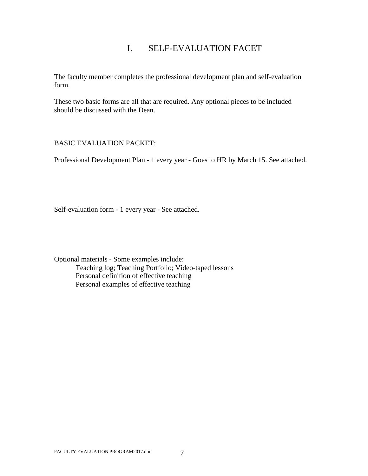## I. SELF-EVALUATION FACET

The faculty member completes the professional development plan and self-evaluation form.

These two basic forms are all that are required. Any optional pieces to be included should be discussed with the Dean.

#### BASIC EVALUATION PACKET:

Professional Development Plan - 1 every year - Goes to HR by March 15. See attached.

Self-evaluation form - 1 every year - See attached.

Optional materials - Some examples include: Teaching log; Teaching Portfolio; Video-taped lessons Personal definition of effective teaching Personal examples of effective teaching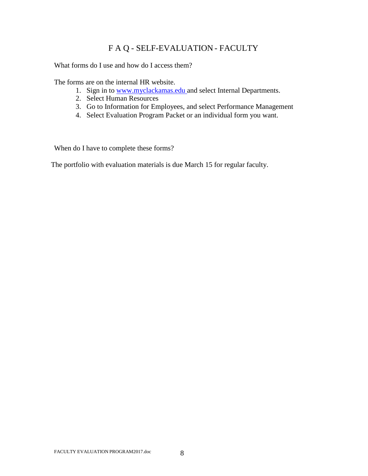## F A Q - SELF-EVALUATION - FACULTY

What forms do I use and how do I access them?

The forms are on the internal HR website.

- 1. Sign in to www.myclackamas.edu and select Internal Departments.
- 2. Select Human Resources
- 3. Go to Information for Employees, and select Performance Management
- 4. Select Evaluation Program Packet or an individual form you want.

When do I have to complete these forms?

The portfolio with evaluation materials is due March 15 for regular faculty.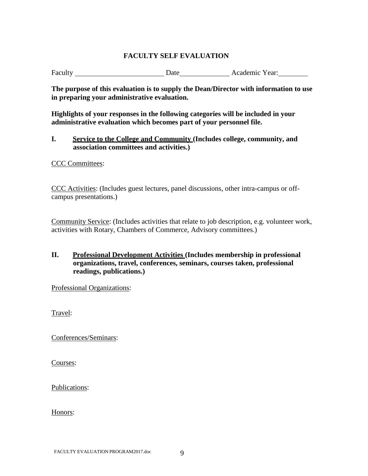#### **FACULTY SELF EVALUATION**

Faculty Date Date Academic Year:

**The purpose of this evaluation is to supply the Dean/Director with information to use in preparing your administrative evaluation.**

**Highlights of your responses in the following categories will be included in your administrative evaluation which becomes part of your personnel file.**

**I. Service to the College and Community (Includes college, community, and association committees and activities.)**

CCC Committees:

CCC Activities: (Includes guest lectures, panel discussions, other intra-campus or offcampus presentations.)

Community Service: (Includes activities that relate to job description, e.g. volunteer work, activities with Rotary, Chambers of Commerce, Advisory committees.)

#### **II. Professional Development Activities (Includes membership in professional organizations, travel, conferences, seminars, courses taken, professional readings, publications.)**

Professional Organizations:

Travel:

Conferences/Seminars:

Courses:

Publications:

Honors: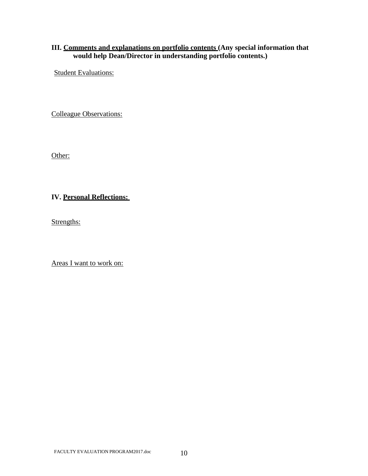#### **III. Comments and explanations on portfolio contents (Any special information that would help Dean/Director in understanding portfolio contents.)**

Student Evaluations:

Colleague Observations:

Other:

#### **IV. Personal Reflections:**

Strengths:

Areas I want to work on: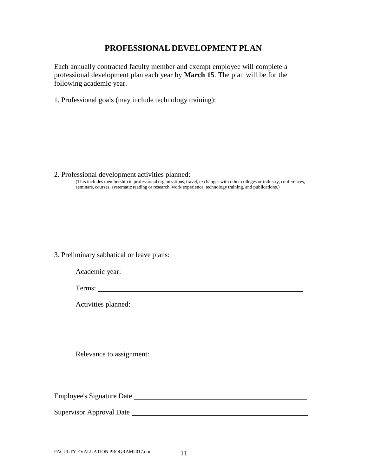#### **PROFESSIONAL DEVELOPMENT PLAN**

Each annually contracted faculty member and exempt employee will complete a professional development plan each year by **March 15**. The plan will be for the following academic year.

1. Professional goals (may include technology training):

2. Professional development activities planned: (This includes membership in professional organizations, travel, exchanges with other colleges or industry, conferences, seminars, courses, systematic reading or research, work experience, technology training, and publications.)

#### 3. Preliminary sabbatical or leave plans:

| Academic year: |  |
|----------------|--|
|                |  |

Terms:

Activities planned:

Relevance to assignment:

Employee's Signature Date

Supervisor Approval Date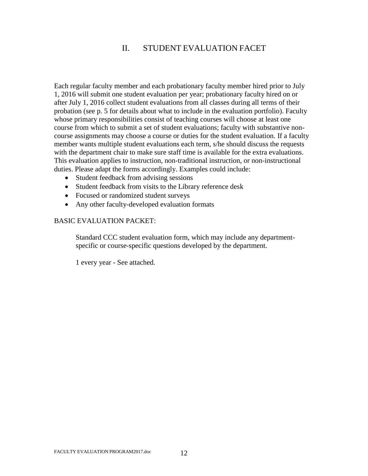## II. STUDENT EVALUATION FACET

Each regular faculty member and each probationary faculty member hired prior to July 1, 2016 will submit one student evaluation per year; probationary faculty hired on or after July 1, 2016 collect student evaluations from all classes during all terms of their probation (see p. 5 for details about what to include in the evaluation portfolio). Faculty whose primary responsibilities consist of teaching courses will choose at least one course from which to submit a set of student evaluations; faculty with substantive noncourse assignments may choose a course or duties for the student evaluation. If a faculty member wants multiple student evaluations each term, s/he should discuss the requests with the department chair to make sure staff time is available for the extra evaluations. This evaluation applies to instruction, non-traditional instruction, or non-instructional duties. Please adapt the forms accordingly. Examples could include:

- Student feedback from advising sessions
- Student feedback from visits to the Library reference desk
- Focused or randomized student surveys
- Any other faculty-developed evaluation formats

#### BASIC EVALUATION PACKET:

Standard CCC student evaluation form, which may include any departmentspecific or course-specific questions developed by the department.

1 every year - See attached.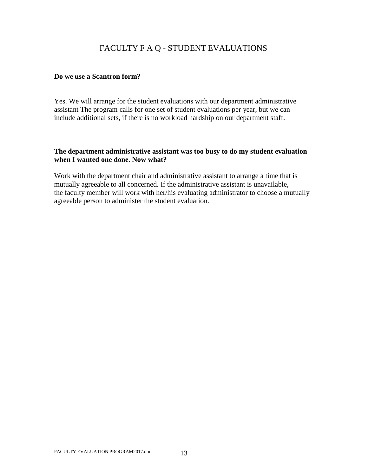## FACULTY F A Q - STUDENT EVALUATIONS

#### **Do we use a Scantron form?**

Yes. We will arrange for the student evaluations with our department administrative assistant The program calls for one set of student evaluations per year, but we can include additional sets, if there is no workload hardship on our department staff.

#### **The department administrative assistant was too busy to do my student evaluation when I wanted one done. Now what?**

Work with the department chair and administrative assistant to arrange a time that is mutually agreeable to all concerned. If the administrative assistant is unavailable, the faculty member will work with her/his evaluating administrator to choose a mutually agreeable person to administer the student evaluation.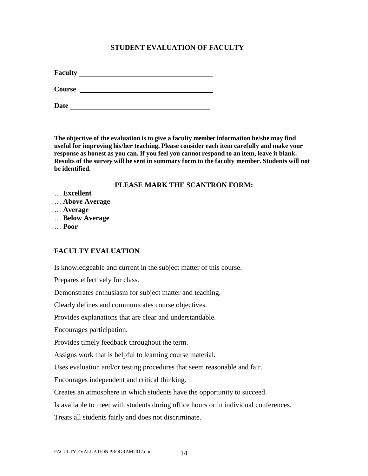#### **STUDENT EVALUATION OF FACULTY**

**Faculty**

**Course** 

**Date** 

**The objective of the evaluation is to give a faculty member information he/she may find useful for improving his/her teaching. Please consider each item carefully and make your response as honest as you can. If you feel you cannot respond to an item, leave it blank. Results of the survey will be sent in summary form to the faculty member. Students will not be identified.**

#### **PLEASE MARK THE SCANTRON FORM:**

- … **Excellent**
- … **Above Average**
- … **Average**
- … **Below Average**
- … **Poor**

#### **FACULTY EVALUATION**

Is knowledgeable and current in the subject matter of this course.

Prepares effectively for class.

Demonstrates enthusiasm for subject matter and teaching.

Clearly defines and communicates course objectives.

Provides explanations that are clear and understandable.

Encourages participation.

Provides timely feedback throughout the term.

Assigns work that is helpful to learning course material.

Uses evaluation and/or testing procedures that seem reasonable and fair.

Encourages independent and critical thinking.

Creates an atmosphere in which students have the opportunity to succeed.

Is available to meet with students during office hours or in individual conferences.

Treats all students fairly and does not discriminate.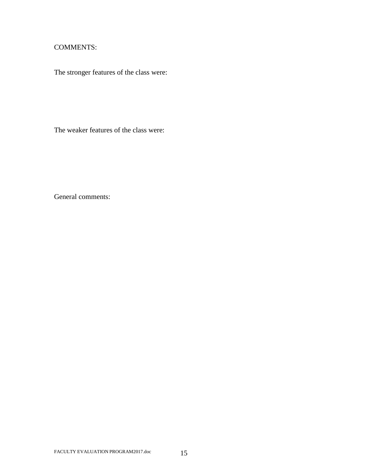#### COMMENTS:

The stronger features of the class were:

The weaker features of the class were:

General comments: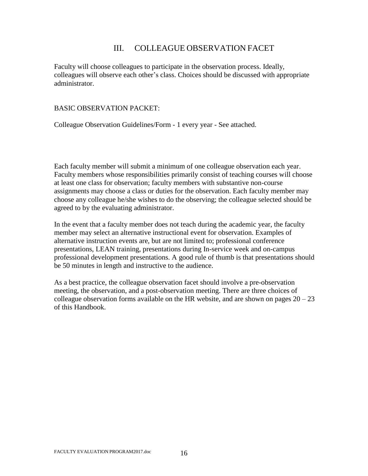#### III. COLLEAGUE OBSERVATION FACET

Faculty will choose colleagues to participate in the observation process. Ideally, colleagues will observe each other's class. Choices should be discussed with appropriate administrator.

#### BASIC OBSERVATION PACKET:

Colleague Observation Guidelines/Form - 1 every year - See attached.

Each faculty member will submit a minimum of one colleague observation each year. Faculty members whose responsibilities primarily consist of teaching courses will choose at least one class for observation; faculty members with substantive non-course assignments may choose a class or duties for the observation. Each faculty member may choose any colleague he/she wishes to do the observing; the colleague selected should be agreed to by the evaluating administrator.

In the event that a faculty member does not teach during the academic year, the faculty member may select an alternative instructional event for observation. Examples of alternative instruction events are, but are not limited to; professional conference presentations, LEAN training, presentations during In-service week and on-campus professional development presentations. A good rule of thumb is that presentations should be 50 minutes in length and instructive to the audience.

As a best practice, the colleague observation facet should involve a pre-observation meeting, the observation, and a post-observation meeting. There are three choices of colleague observation forms available on the HR website, and are shown on pages  $20 - 23$ of this Handbook.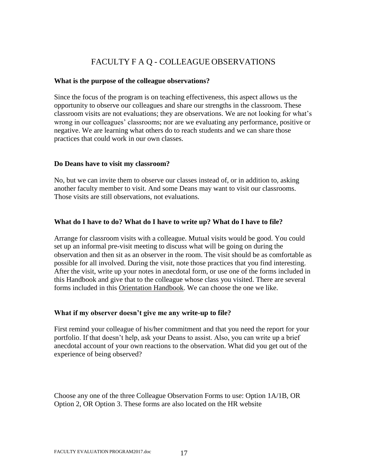## FACULTY F A Q - COLLEAGUE OBSERVATIONS

#### **What is the purpose of the colleague observations?**

Since the focus of the program is on teaching effectiveness, this aspect allows us the opportunity to observe our colleagues and share our strengths in the classroom. These classroom visits are not evaluations; they are observations. We are not looking for what's wrong in our colleagues' classrooms; nor are we evaluating any performance, positive or negative. We are learning what others do to reach students and we can share those practices that could work in our own classes.

#### **Do Deans have to visit my classroom?**

No, but we can invite them to observe our classes instead of, or in addition to, asking another faculty member to visit. And some Deans may want to visit our classrooms. Those visits are still observations, not evaluations.

#### **What do I have to do? What do I have to write up? What do I have to file?**

Arrange for classroom visits with a colleague. Mutual visits would be good. You could set up an informal pre-visit meeting to discuss what will be going on during the observation and then sit as an observer in the room. The visit should be as comfortable as possible for all involved. During the visit, note those practices that you find interesting. After the visit, write up your notes in anecdotal form, or use one of the forms included in this Handbook and give that to the colleague whose class you visited. There are several forms included in this Orientation Handbook. We can choose the one we like.

#### **What if my observer doesn't give me any write-up to file?**

First remind your colleague of his/her commitment and that you need the report for your portfolio. If that doesn't help, ask your Deans to assist. Also, you can write up a brief anecdotal account of your own reactions to the observation. What did you get out of the experience of being observed?

Choose any one of the three Colleague Observation Forms to use: Option 1A/1B, OR Option 2, OR Option 3. These forms are also located on the HR website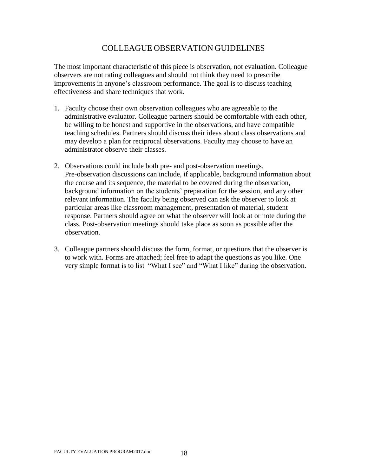## COLLEAGUE OBSERVATION GUIDELINES

The most important characteristic of this piece is observation, not evaluation. Colleague observers are not rating colleagues and should not think they need to prescribe improvements in anyone's classroom performance. The goal is to discuss teaching effectiveness and share techniques that work.

- 1. Faculty choose their own observation colleagues who are agreeable to the administrative evaluator. Colleague partners should be comfortable with each other, be willing to be honest and supportive in the observations, and have compatible teaching schedules. Partners should discuss their ideas about class observations and may develop a plan for reciprocal observations. Faculty may choose to have an administrator observe their classes.
- 2. Observations could include both pre- and post-observation meetings. Pre-observation discussions can include, if applicable, background information about the course and its sequence, the material to be covered during the observation, background information on the students' preparation for the session, and any other relevant information. The faculty being observed can ask the observer to look at particular areas like classroom management, presentation of material, student response. Partners should agree on what the observer will look at or note during the class. Post-observation meetings should take place as soon as possible after the observation.
- 3. Colleague partners should discuss the form, format, or questions that the observer is to work with. Forms are attached; feel free to adapt the questions as you like. One very simple format is to list "What I see" and "What I like" during the observation.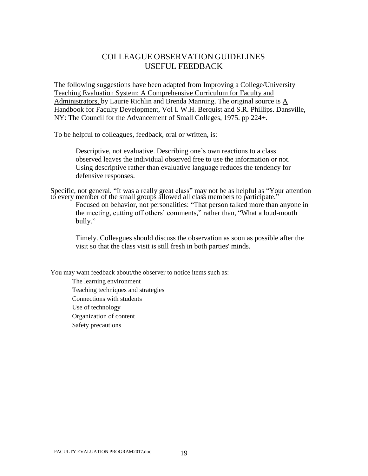### COLLEAGUE OBSERVATION GUIDELINES USEFUL FEEDBACK

The following suggestions have been adapted from Improving a College/University Teaching Evaluation System: A Comprehensive Curriculum for Faculty and Administrators, by Laurie Richlin and Brenda Manning. The original source is A Handbook for Faculty Development, Vol I. W.H. Berquist and S.R. Phillips. Dansville, NY: The Council for the Advancement of Small Colleges, 1975. pp 224+.

To be helpful to colleagues, feedback, oral or written, is:

Descriptive, not evaluative. Describing one's own reactions to a class observed leaves the individual observed free to use the information or not. Using descriptive rather than evaluative language reduces the tendency for defensive responses.

Specific, not general. "It was a really great class" may not be as helpful as "Your attention to every member of the small groups allowed all class members to participate." Focused on behavior, not personalities: "That person talked more than anyone in the meeting, cutting off others' comments," rather than, "What a loud-mouth bully."

Timely. Colleagues should discuss the observation as soon as possible after the visit so that the class visit is still fresh in both parties' minds.

You may want feedback about/the observer to notice items such as:

The learning environment Teaching techniques and strategies Connections with students Use of technology Organization of content Safety precautions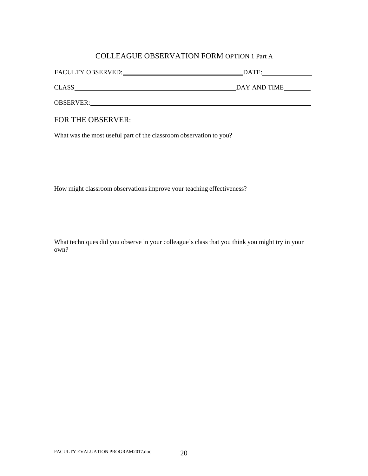#### COLLEAGUE OBSERVATION FORM OPTION 1 Part A

| <b>FACULTY OBSERVED:</b> | DATE:        |  |
|--------------------------|--------------|--|
| <b>CLASS</b>             | DAY AND TIME |  |

OBSERVER:

#### FOR THE OBSERVER:

What was the most useful part of the classroom observation to you?

How might classroom observations improve your teaching effectiveness?

What techniques did you observe in your colleague's class that you think you might try in your own?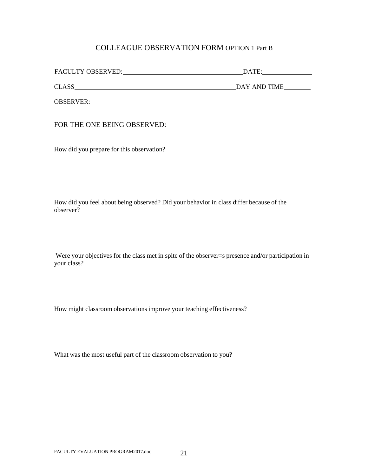#### COLLEAGUE OBSERVATION FORM OPTION 1 Part B

| FACULTY OBSERVED: | DATE:        |
|-------------------|--------------|
| <b>CLASS</b>      | DAY AND TIME |
| <b>OBSERVER:</b>  |              |

FOR THE ONE BEING OBSERVED:

How did you prepare for this observation?

How did you feel about being observed? Did your behavior in class differ because of the observer?

Were your objectives for the class met in spite of the observer=s presence and/or participation in your class?

How might classroom observations improve your teaching effectiveness?

What was the most useful part of the classroom observation to you?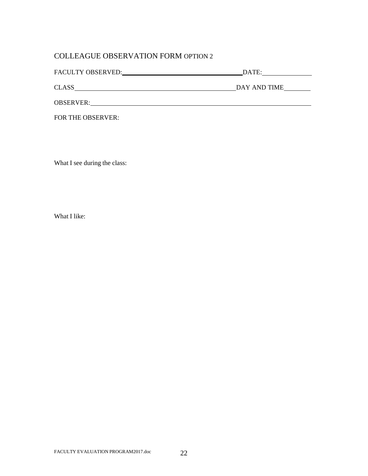### COLLEAGUE OBSERVATION FORM OPTION 2

| FACULTY OBSERVED:<br>DATE: |              |
|----------------------------|--------------|
|                            |              |
| <b>CLASS</b>               | DAY AND TIME |
| <b>OBSERVER:</b>           |              |

FOR THE OBSERVER:

What I see during the class:

What I like: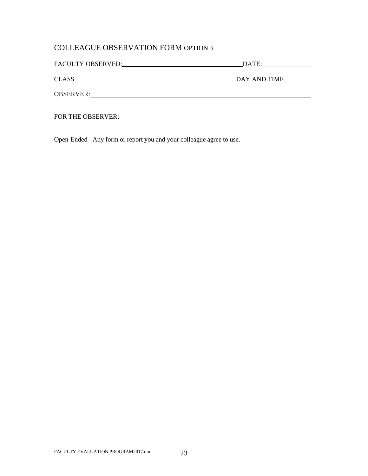## COLLEAGUE OBSERVATION FORM OPTION 3

| FACULTY OBSERVED: | DATE:        |
|-------------------|--------------|
| <b>CLASS</b>      | DAY AND TIME |
| <b>OBSERVER:</b>  |              |

FOR THE OBSERVER:

Open-Ended - Any form or report you and your colleague agree to use.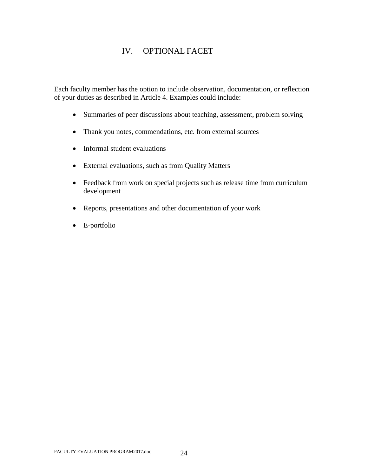## IV. OPTIONAL FACET

Each faculty member has the option to include observation, documentation, or reflection of your duties as described in Article 4. Examples could include:

- Summaries of peer discussions about teaching, assessment, problem solving
- Thank you notes, commendations, etc. from external sources
- Informal student evaluations
- External evaluations, such as from Quality Matters
- Feedback from work on special projects such as release time from curriculum development
- Reports, presentations and other documentation of your work
- E-portfolio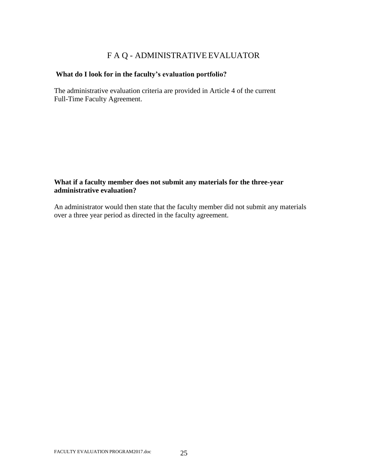## F A Q - ADMINISTRATIVE EVALUATOR

#### **What do I look for in the faculty's evaluation portfolio?**

The administrative evaluation criteria are provided in Article 4 of the current Full-Time Faculty Agreement.

#### **What if a faculty member does not submit any materials for the three-year administrative evaluation?**

An administrator would then state that the faculty member did not submit any materials over a three year period as directed in the faculty agreement.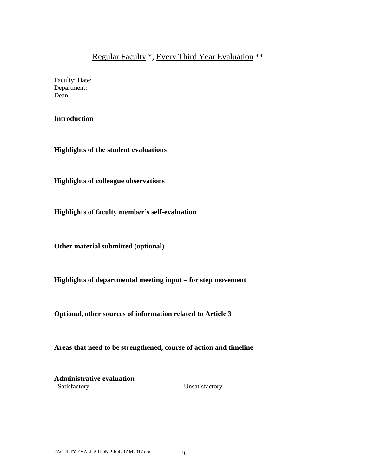## Regular Faculty \*, Every Third Year Evaluation \*\*

Faculty: Date: Department: Dean:

#### **Introduction**

**Highlights of the student evaluations** 

**Highlights of colleague observations** 

**Highlights of faculty member's self-evaluation**

**Other material submitted (optional)**

**Highlights of departmental meeting input – for step movement**

**Optional, other sources of information related to Article 3**

**Areas that need to be strengthened, course of action and timeline**

**Administrative evaluation** Satisfactory Unsatisfactory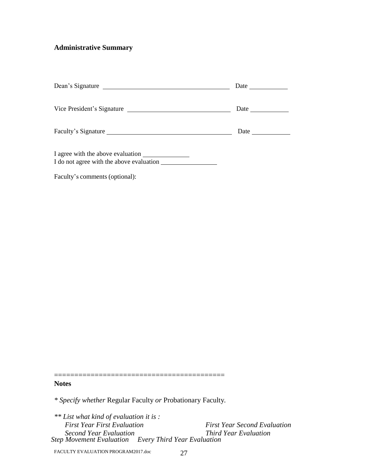## **Administrative Summary**

| Dean's Signature                  | Date $\frac{ }{ }$                                                       |
|-----------------------------------|--------------------------------------------------------------------------|
| Vice President's Signature        | Date $\frac{1}{\sqrt{1-\frac{1}{2}}\cdot\frac{1}{\sqrt{1-\frac{1}{2}}}}$ |
| Faculty's Signature               | Date $\_\_$                                                              |
| I agree with the above evaluation |                                                                          |
| Faculty's comments (optional):    |                                                                          |

**Notes**

*\* Specify whether* Regular Faculty *or* Probationary Faculty*.*

==========================================

| ** List what kind of evaluation it is:               |                                     |
|------------------------------------------------------|-------------------------------------|
| <b>First Year First Evaluation</b>                   | <b>First Year Second Evaluation</b> |
| Second Year Evaluation                               | <i>Third Year Evaluation</i>        |
| Step Movement Evaluation Every Third Year Evaluation |                                     |

FACULTY EVALUATION PROGRAM2017.doc 27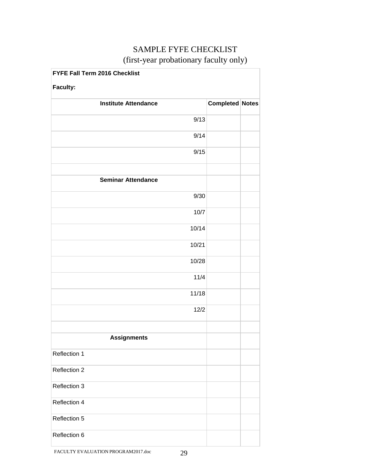## SAMPLE FYFE CHECKLIST (first-year probationary faculty only)

| FYFE Fall Term 2016 Checklist |                        |  |
|-------------------------------|------------------------|--|
| <b>Faculty:</b>               |                        |  |
| <b>Institute Attendance</b>   | <b>Completed Notes</b> |  |
| 9/13                          |                        |  |
| 9/14                          |                        |  |
| 9/15                          |                        |  |
|                               |                        |  |
| <b>Seminar Attendance</b>     |                        |  |
| 9/30                          |                        |  |
| 10/7                          |                        |  |
| 10/14                         |                        |  |
| 10/21                         |                        |  |
| 10/28                         |                        |  |
| 11/4                          |                        |  |
| 11/18                         |                        |  |
| 12/2                          |                        |  |
|                               |                        |  |
| <b>Assignments</b>            |                        |  |
| Reflection 1                  |                        |  |
| Reflection 2                  |                        |  |
| Reflection 3                  |                        |  |
| Reflection 4                  |                        |  |
| Reflection 5                  |                        |  |
| Reflection 6                  |                        |  |